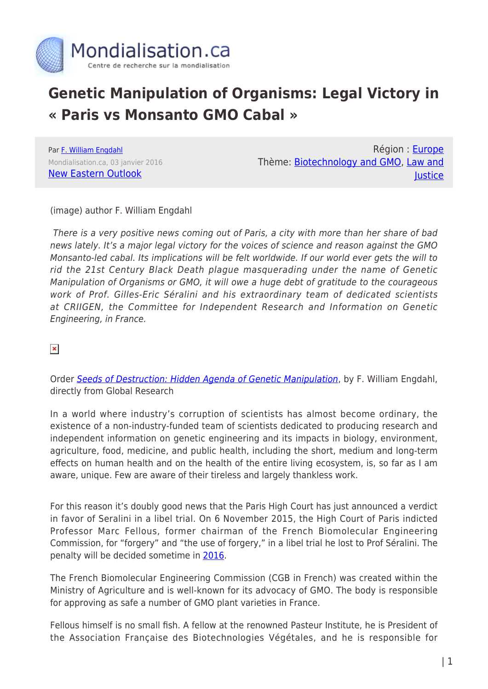

## **Genetic Manipulation of Organisms: Legal Victory in « Paris vs Monsanto GMO Cabal »**

Par [F. William Engdahl](https://www.mondialisation.ca/author/f-william-engdahl) Mondialisation.ca, 03 janvier 2016 [New Eastern Outlook](http://journal-neo.org/2016/01/03/victory-in-paris-vs-monsanto-gmo-cabal/)

Région : [Europe](https://www.mondialisation.ca/region/europe) Thème: [Biotechnology and GMO](https://www.mondialisation.ca/theme/biotechnology-and-gmo), [Law and](https://www.mondialisation.ca/theme/law-and-justice) **lustice** 

(image) author F. William Engdahl

 There is a very positive news coming out of Paris, a city with more than her share of bad news lately. It's a major legal victory for the voices of science and reason against the GMO Monsanto-led cabal. Its implications will be felt worldwide. If our world ever gets the will to rid the 21st Century Black Death plague masquerading under the name of Genetic Manipulation of Organisms or GMO, it will owe a huge debt of gratitude to the courageous work of Prof. Gilles-Eric Séralini and his extraordinary team of dedicated scientists at CRIIGEN, the Committee for Independent Research and Information on Genetic Engineering, in France.

 $\pmb{\times}$ 

Order [Seeds of Destruction: Hidden Agenda of Genetic Manipulation](https://store.globalresearch.ca/store/seeds-of-destruction/), by F. William Engdahl, directly from Global Research

In a world where industry's corruption of scientists has almost become ordinary, the existence of a non-industry-funded team of scientists dedicated to producing research and independent information on genetic engineering and its impacts in biology, environment, agriculture, food, medicine, and public health, including the short, medium and long-term effects on human health and on the health of the entire living ecosystem, is, so far as I am aware, unique. Few are aware of their tireless and largely thankless work.

For this reason it's doubly good news that the Paris High Court has just announced a verdict in favor of Seralini in a libel trial. On 6 November 2015, the High Court of Paris indicted Professor Marc Fellous, former chairman of the French Biomolecular Engineering Commission, for "forgery" and "the use of forgery," in a libel trial he lost to Prof Séralini. The penalty will be decided sometime in [2016](http://www.gmwatch.org/news/latest-news/16557-seralini-s-team-and-criigen-win-two-court-cases-about-their-research-on-toxicity-of-gmos-and-pesticides).

The French Biomolecular Engineering Commission (CGB in French) was created within the Ministry of Agriculture and is well-known for its advocacy of GMO. The body is responsible for approving as safe a number of GMO plant varieties in France.

Fellous himself is no small fish. A fellow at the renowned Pasteur Institute, he is President of the Association Française des Biotechnologies Végétales, and he is responsible for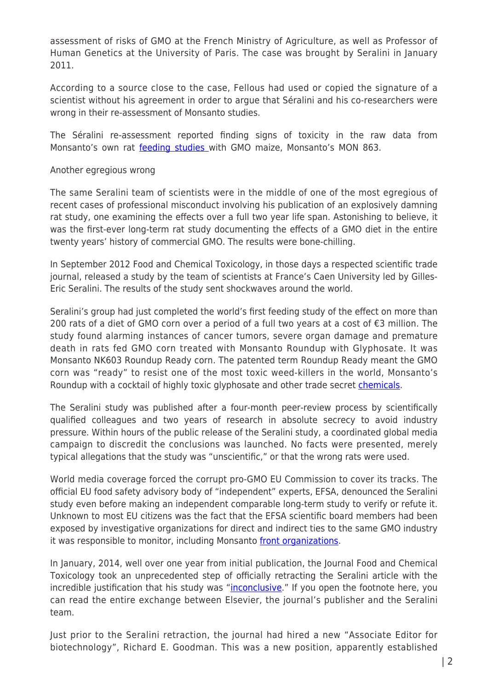assessment of risks of GMO at the French Ministry of Agriculture, as well as Professor of Human Genetics at the University of Paris. The case was brought by Seralini in January 2011.

According to a source close to the case, Fellous had used or copied the signature of a scientist without his agreement in order to argue that Séralini and his co-researchers were wrong in their re-assessment of Monsanto studies.

The Séralini re-assessment reported finding signs of toxicity in the raw data from Monsanto's own rat [feeding studies w](http://www.springerlink.com/content/02648wu132m07804/fulltext.html)ith GMO maize, Monsanto's MON 863.

## Another egregious wrong

The same Seralini team of scientists were in the middle of one of the most egregious of recent cases of professional misconduct involving his publication of an explosively damning rat study, one examining the effects over a full two year life span. Astonishing to believe, it was the first-ever long-term rat study documenting the effects of a GMO diet in the entire twenty years' history of commercial GMO. The results were bone-chilling.

In September 2012 Food and Chemical Toxicology, in those days a respected scientific trade journal, released a study by the team of scientists at France's Caen University led by Gilles-Eric Seralini. The results of the study sent shockwaves around the world.

Seralini's group had just completed the world's first feeding study of the effect on more than 200 rats of a diet of GMO corn over a period of a full two years at a cost of €3 million. The study found alarming instances of cancer tumors, severe organ damage and premature death in rats fed GMO corn treated with Monsanto Roundup with Glyphosate. It was Monsanto NK603 Roundup Ready corn. The patented term Roundup Ready meant the GMO corn was "ready" to resist one of the most toxic weed-killers in the world, Monsanto's Roundup with a cocktail of highly toxic glyphosate and other trade secret [chemicals](http://dx.doi.org/10.1016/j.fct.2012.08.005).

The Seralini study was published after a four-month peer-review process by scientifically qualified colleagues and two years of research in absolute secrecy to avoid industry pressure. Within hours of the public release of the Seralini study, a coordinated global media campaign to discredit the conclusions was launched. No facts were presented, merely typical allegations that the study was "unscientific," or that the wrong rats were used.

World media coverage forced the corrupt pro-GMO EU Commission to cover its tracks. The official EU food safety advisory body of "independent" experts, EFSA, denounced the Seralini study even before making an independent comparable long-term study to verify or refute it. Unknown to most EU citizens was the fact that the EFSA scientific board members had been exposed by investigative organizations for direct and indirect ties to the same GMO industry it was responsible to monitor, including Monsanto [front organizations.](http://www.theecologist.org/News/news_round_up/654446/eu_food_safety_chief_forced_to_quit_gm_lobby_role.html)

In January, 2014, well over one year from initial publication, the Journal Food and Chemical Toxicology took an unprecedented step of officially retracting the Seralini article with the incredible justification that his study was ["inconclusive.](http://www.theecologist.org/News/news_round_up/654446/eu_food_safety_chief_forced_to_quit_gm_lobby_role.html)" If you open the footnote here, you can read the entire exchange between Elsevier, the journal's publisher and the Seralini team.

Just prior to the Seralini retraction, the journal had hired a new "Associate Editor for biotechnology", Richard E. Goodman. This was a new position, apparently established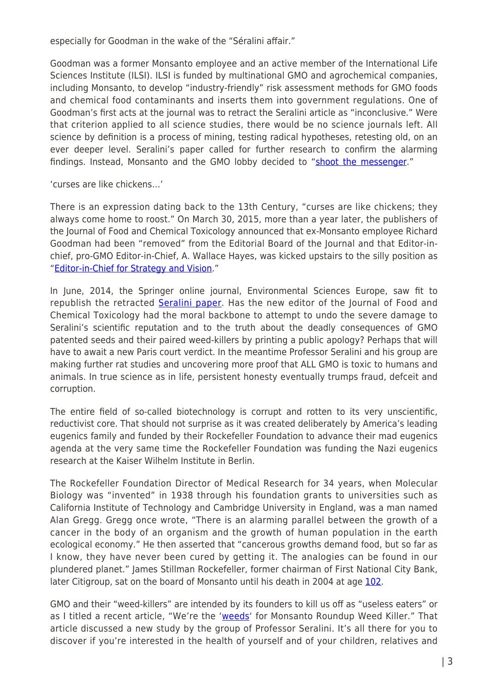especially for Goodman in the wake of the "Séralini affair."

Goodman was a former Monsanto employee and an active member of the International Life Sciences Institute (ILSI). ILSI is funded by multinational GMO and agrochemical companies, including Monsanto, to develop "industry-friendly" risk assessment methods for GMO foods and chemical food contaminants and inserts them into government regulations. One of Goodman's first acts at the journal was to retract the Seralini article as "inconclusive." Were that criterion applied to all science studies, there would be no science journals left. All science by definition is a process of mining, testing radical hypotheses, retesting old, on an ever deeper level. Seralini's paper called for further research to confirm the alarming findings. Instead, Monsanto and the GMO lobby decided to ["shoot the messenger](http://www.independentsciencenews.org/science-media/the-goodman-affair-monsanto-targets-the-heart-of-science/)."

'curses are like chickens…'

There is an expression dating back to the 13th Century, "curses are like chickens; they always come home to roost." On March 30, 2015, more than a year later, the publishers of the Journal of Food and Chemical Toxicology announced that ex-Monsanto employee Richard Goodman had been "removed" from the Editorial Board of the Journal and that Editor-inchief, pro-GMO Editor-in-Chief, A. Wallace Hayes, was kicked upstairs to the silly position as "[Editor-in-Chief for Strategy and Vision.](http://www.blacklistednews.com/FORMER_MONSANTO_EMPLOYEE_FIRED_FROM_MAJOR_SCIENTIFIC_JOURNAL%E2%80%99S_EDITOR_POSITION/43047/0/38/38/Y/M.ht)"

In June, 2014, the Springer online journal, Environmental Sciences Europe, saw fit to republish the retracted [Seralini paper](http://www.enveurope.com/content/26/1/14). Has the new editor of the Journal of Food and Chemical Toxicology had the moral backbone to attempt to undo the severe damage to Seralini's scientific reputation and to the truth about the deadly consequences of GMO patented seeds and their paired weed-killers by printing a public apology? Perhaps that will have to await a new Paris court verdict. In the meantime Professor Seralini and his group are making further rat studies and uncovering more proof that ALL GMO is toxic to humans and animals. In true science as in life, persistent honesty eventually trumps fraud, defceit and corruption.

The entire field of so-called biotechnology is corrupt and rotten to its very unscientific, reductivist core. That should not surprise as it was created deliberately by America's leading eugenics family and funded by their Rockefeller Foundation to advance their mad eugenics agenda at the very same time the Rockefeller Foundation was funding the Nazi eugenics research at the Kaiser Wilhelm Institute in Berlin.

The Rockefeller Foundation Director of Medical Research for 34 years, when Molecular Biology was "invented" in 1938 through his foundation grants to universities such as California Institute of Technology and Cambridge University in England, was a man named Alan Gregg. Gregg once wrote, "There is an alarming parallel between the growth of a cancer in the body of an organism and the growth of human population in the earth ecological economy." He then asserted that "cancerous growths demand food, but so far as I know, they have never been cured by getting it. The analogies can be found in our plundered planet." James Stillman Rockefeller, former chairman of First National City Bank, later Citigroup, sat on the board of Monsanto until his death in 2004 at age [102](http://www.telegraph.co.uk/news/obituaries/1469477/James-Stillman-Rockefeller.html).

GMO and their "weed-killers" are intended by its founders to kill us off as "useless eaters" or as I titled a recent article, "We're the '[weeds](http://journal-neo.org/2015/11/06/we-re-the-weeds-for-monsanto-roundup-weed-killer/)' for Monsanto Roundup Weed Killer." That article discussed a new study by the group of Professor Seralini. It's all there for you to discover if you're interested in the health of yourself and of your children, relatives and